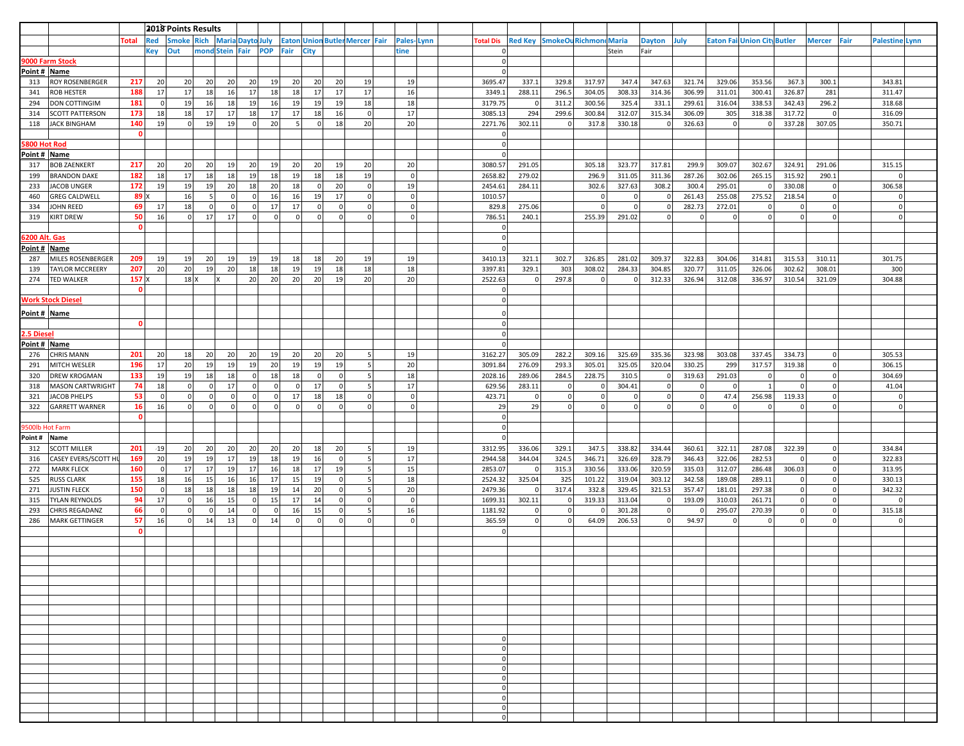|                              |                                     |                    | 2018 Points Results |               |                 |                 |                              |          |                |                                       |                 |                            |            |                            |                  |                               |                  |                 |                    |                  |                  |                          |                          |                               |      |                       |  |
|------------------------------|-------------------------------------|--------------------|---------------------|---------------|-----------------|-----------------|------------------------------|----------|----------------|---------------------------------------|-----------------|----------------------------|------------|----------------------------|------------------|-------------------------------|------------------|-----------------|--------------------|------------------|------------------|--------------------------|--------------------------|-------------------------------|------|-----------------------|--|
|                              |                                     | <b>Total</b>       | <b>Red</b>          | <b>Smoke</b>  |                 |                 | <b>Rich Maria Dayto July</b> |          |                | <b>Eaton Union Butler Mercer Fair</b> |                 |                            | Pales-Lynn | <b>Total Dis</b>           | <b>Red Key</b>   | <b>SmokeOu Richmond Maria</b> |                  |                 | <b>Dayton</b>      | July             | <b>Eaton Fai</b> | <b>Union City Butler</b> |                          | <b>Mercer</b>                 | Fair | <b>Palestine Lynn</b> |  |
|                              |                                     |                    | Key                 | Out           |                 |                 | mond Stein Fair POP          |          | Fair           | <b>City</b>                           |                 |                            | tine       | $\Omega$                   |                  |                               |                  | Stein           | Fair               |                  |                  |                          |                          |                               |      |                       |  |
| 9000 Farm Stock              |                                     |                    |                     |               |                 |                 |                              |          |                |                                       |                 |                            |            | $\Omega$                   |                  |                               |                  |                 |                    |                  |                  |                          |                          |                               |      |                       |  |
| Point # Name                 |                                     |                    |                     |               |                 |                 |                              |          |                |                                       |                 |                            |            | $\Omega$                   |                  |                               |                  |                 |                    |                  |                  |                          |                          |                               |      |                       |  |
| 313                          | <b>ROY ROSENBERGER</b>              | 217                | 20                  | 20            | 20              | 20              | 20 <sup>1</sup>              | 19       | 20             | 20                                    | 20              | 19                         | 19         | 3695.47                    | 337.1            | 329.8                         | 317.97           | 347.4           | 347.63             | 321.74           | 329.06           | 353.56                   | 367.3                    | 300.1                         |      | 343.81                |  |
| 341                          | <b>ROB HESTER</b>                   | 188                | 17                  | 17            | 18              | 16              | 17                           | 18       | 18             | 17                                    | 17              | 17                         | 16         | 3349.1                     | 288.11           | 296.5                         | 304.05           | 308.33          | 314.36             | 306.99           | 311.01           | 300.41                   | 326.87                   | 281                           |      | 311.47                |  |
| 294                          | <b>DON COTTINGIM</b>                | 181                | 0                   | 19            | 16              | 18              | 19                           | 16       | 19             | 19                                    | 19              | 18                         | 18         | 3179.75                    |                  | 311.2                         | 300.56           | 325.4           | 331.1              | 299.61           | 316.04           | 338.53                   | 342.43                   | 296.2                         |      | 318.68                |  |
| 314                          | <b>SCOTT PATTERSON</b>              | 173                | 18                  | 18            | 17              | 17              | 18                           | 17       | 17             | 18                                    | 16              | $\overline{0}$             | 17         | 3085.13                    | 294              | 299.6                         | 300.84           | 312.07          | 315.34             | 306.09           | 305              | 318.38                   | 317.72                   | $\Omega$                      |      | 316.09                |  |
| 118                          | <b>JACK BINGHAM</b>                 | 140                | 19                  | $\Omega$      | 19              | 19              | 0                            | 20       | -5             | 0                                     | 18              | 20                         | 20         | 2271.76                    | 302.11           | $\Omega$                      | 317.8            | 330.18          | $\Omega$           | 326.63           | $\Omega$         |                          | 337.28                   | 307.05                        |      | 350.71                |  |
|                              |                                     | $\mathbf{o}$       |                     |               |                 |                 |                              |          |                |                                       |                 |                            |            | $\mathbf 0$<br>$\mathbf 0$ |                  |                               |                  |                 |                    |                  |                  |                          |                          |                               |      |                       |  |
| 5800 Hot Rod<br>Point # Name |                                     |                    |                     |               |                 |                 |                              |          |                |                                       |                 |                            |            | $\Omega$                   |                  |                               |                  |                 |                    |                  |                  |                          |                          |                               |      |                       |  |
| 317                          | <b>BOB ZAENKERT</b>                 | 217                | 20                  | 20            | 20              | 19              | 20 <sup>1</sup>              | 19       | 20             | 20                                    | 19              | 20                         | 20         | 3080.57                    | 291.05           |                               | 305.18           | 323.77          | 317.81             | 299.9            | 309.07           | 302.67                   | 324.91                   | 291.06                        |      | 315.15                |  |
| 199                          | <b>BRANDON DAKE</b>                 | 182                | 18                  | 17            | 18              | 18              | 19                           | 18       | 19             | 18                                    | 18              | 19                         | $\Omega$   | 2658.82                    | 279.02           |                               | 296.9            | 311.05          | 311.36             | 287.26           | 302.06           | 265.15                   | 315.92                   | 290.1                         |      |                       |  |
| 233                          | <b>JACOB UNGER</b>                  | 172                | 19                  | 19            | 19              | 20              | 18                           | 20       | 18             | $\overline{0}$                        | 20              | $\circ$                    | 19         | 2454.61                    | 284.11           |                               | 302.6            | 327.63          | 308.2              | 300.4            | 295.01           |                          | 330.08                   | $\overline{0}$                |      | 306.58                |  |
| 460                          | <b>GREG CALDWELL</b>                | 89∥                |                     | 16            | 5               | 0               | 0                            | 16       | 16             | 19                                    | 17              | $\circ$                    | $\Omega$   | 1010.57                    |                  |                               | 0                | $\mathbf 0$     | $\overline{0}$     | 261.43           | 255.08           | 275.52                   | 218.54                   | $\mathbf 0$                   |      | $\Omega$              |  |
| 334                          | <b>JOHN REED</b>                    | 69                 | 17                  | 18            | 0               | 0               | 0                            | 17       | 17             | $\overline{0}$                        | 0               | $\mathbf 0$                | $\Omega$   | 829.8                      | 275.06           |                               | $\mathbf 0$      | $\mathbf 0$     | $\Omega$           | 282.73           | 272.01           | 0                        | 0                        | $\overline{0}$                |      | $\Omega$              |  |
| 319                          | <b>KIRT DREW</b>                    | 50                 | 16                  | $\Omega$      | 17 <sup>1</sup> | 17              | 0                            | $\Omega$ | $\Omega$       | $\overline{0}$                        | $\Omega$        | $\Omega$                   | $\Omega$   | 786.51                     | 240.1            |                               | 255.39           | 291.02          | $\Omega$           | $\Omega$         | C.               | $\Omega$                 | $\Omega$                 |                               |      |                       |  |
|                              |                                     | $\mathbf{0}$       |                     |               |                 |                 |                              |          |                |                                       |                 |                            |            |                            |                  |                               |                  |                 |                    |                  |                  |                          |                          |                               |      |                       |  |
| <b>5200 Alt. Gas</b>         |                                     |                    |                     |               |                 |                 |                              |          |                |                                       |                 |                            |            | $\mathbf 0$                |                  |                               |                  |                 |                    |                  |                  |                          |                          |                               |      |                       |  |
| Point # Name                 |                                     |                    |                     |               |                 |                 |                              |          |                |                                       |                 |                            |            | $\Omega$                   |                  |                               |                  |                 |                    |                  |                  |                          |                          |                               |      |                       |  |
| 287                          | MILES ROSENBERGER                   | 209                | <b>19</b>           | 19            | 20              | <b>19</b>       | 19                           | 19       | 18             | 18                                    | 20              | 19                         | 19         | 3410.13                    | 321.1            | 302.7                         | 326.85           | 281.02          | 309.37             | 322.83           | 304.06           | 314.81                   | 315.53                   | 310.11                        |      | 301.75                |  |
| 139                          | <b>TAYLOR MCCREERY</b>              | 207                | 20                  | 20            | 19              | <b>20</b>       | 18                           | 18       | 19             | 19                                    | 18              | 18                         | 18         | 3397.81                    | 329.1            | 303                           | 308.02           | 284.33          | 304.85             | 320.77           | 311.05           | 326.06                   | 302.62                   | 308.01                        |      | 300                   |  |
| 274                          | <b>TED WALKER</b>                   | 157 X              |                     | $18$ $\times$ |                 | X               | 20                           | 20       | 20             | 20                                    | 19              | 20                         | 20         | 2522.63                    | $\overline{0}$   | 297.8                         | $\Omega$         | n               | 312.33             | 326.94           | 312.08           | 336.97                   | 310.54                   | 321.09                        |      | 304.88                |  |
|                              |                                     | $\mathbf{0}$       |                     |               |                 |                 |                              |          |                |                                       |                 |                            |            |                            |                  |                               |                  |                 |                    |                  |                  |                          |                          |                               |      |                       |  |
|                              | <b>Nork Stock Diesel</b>            |                    |                     |               |                 |                 |                              |          |                |                                       |                 |                            |            | $\mathbf 0$                |                  |                               |                  |                 |                    |                  |                  |                          |                          |                               |      |                       |  |
| Point # Name                 |                                     |                    |                     |               |                 |                 |                              |          |                |                                       |                 |                            |            |                            |                  |                               |                  |                 |                    |                  |                  |                          |                          |                               |      |                       |  |
|                              |                                     | $\mathbf{0}$       |                     |               |                 |                 |                              |          |                |                                       |                 |                            |            | $\mathbf 0$                |                  |                               |                  |                 |                    |                  |                  |                          |                          |                               |      |                       |  |
| 2.5 Diesel                   |                                     |                    |                     |               |                 |                 |                              |          |                |                                       |                 |                            |            | $\Omega$                   |                  |                               |                  |                 |                    |                  |                  |                          |                          |                               |      |                       |  |
| Point # Name                 |                                     |                    |                     |               |                 |                 |                              |          |                |                                       |                 |                            |            | $\Omega$                   |                  |                               |                  |                 |                    |                  |                  |                          |                          |                               |      |                       |  |
| 276                          | <b>CHRIS MANN</b>                   | 201                | 20                  | 18            | 20              | 20 <sup>1</sup> | 20 <sup>1</sup>              | 19       | 20             | 20                                    | 20              | 5 <sup>1</sup>             | 19         | 3162.27                    | 305.09           | 282.2                         | 309.16           | 325.69          | 335.36             | 323.98           | 303.08           | 337.45                   | 334.73                   | $\mathbf 0$                   |      | 305.53                |  |
| 291<br>320                   | MITCH WESLER<br><b>DREW KROGMAN</b> | 196<br>133         | 17<br>19            | 20<br>19      | 19<br>18        | 19<br>18        | 19<br>$\circ$                | 20<br>18 | 19<br>18       | 19<br>$\circ$                         | 19<br> 0        | 5 <sub>1</sub><br>5        | 20<br>18   | 3091.84<br>2028.16         | 276.09<br>289.06 | 293.3<br>284.5                | 305.01<br>228.75 | 325.05<br>310.5 | 320.04<br>$\Omega$ | 330.25<br>319.63 | 299<br>291.03    | 317.57<br>$\mathbf 0$    | 319.38<br>$\overline{0}$ | $\overline{0}$<br>$\mathbf 0$ |      | 306.15<br>304.69      |  |
| 318                          | <b>MASON CARTWRIGHT</b>             | 74                 | 18                  | - 0           | $\Omega$        | 17              | $\circ$                      | $\Omega$ | $\overline{0}$ | 17                                    | 0               | 5 <sub>5</sub>             | 17         | 629.56                     | 283.11           | - 0                           | 0                | 304.41          | $\Omega$           | 0                | $\Omega$         |                          | $\Omega$                 | $\overline{0}$                |      | 41.04                 |  |
| 321                          | JACOB PHELPS                        | 53                 | 0                   | $\Omega$      | $\Omega$        | $\Omega$        | $\circ$                      | $\Omega$ | 17             | 18                                    | 18              | $\Omega$                   |            | 423.71                     | $\mathbf 0$      |                               | $\Omega$         | $\Omega$        | $\Omega$           | $\mathsf 0$      | 47.4             | 256.98                   | 119.33                   | $\overline{0}$                |      |                       |  |
| 322                          | <b>GARRETT WARNER</b>               | 16                 | 16                  | $\Omega$      | 0               | $\Omega$        | $\overline{0}$               | $\Omega$ | $\mathbf 0$    | $\Omega$                              | $\Omega$        | $\Omega$                   | $\Omega$   | 29                         | 29               | $\Omega$                      | $\Omega$         | $\Omega$        | $\Omega$           | $\mathbf 0$      |                  |                          | $\Omega$                 |                               |      |                       |  |
|                              |                                     | $\Omega$           |                     |               |                 |                 |                              |          |                |                                       |                 |                            |            | $\Omega$                   |                  |                               |                  |                 |                    |                  |                  |                          |                          |                               |      |                       |  |
| <b>3500lb Hot Farm</b>       |                                     |                    |                     |               |                 |                 |                              |          |                |                                       |                 |                            |            | $\mathbf 0$                |                  |                               |                  |                 |                    |                  |                  |                          |                          |                               |      |                       |  |
| Point #                      | Name                                |                    |                     |               |                 |                 |                              |          |                |                                       |                 |                            |            | $\Omega$                   |                  |                               |                  |                 |                    |                  |                  |                          |                          |                               |      |                       |  |
| 312                          | <b>SCOTT MILLER</b>                 | 201                | 19                  | 20            | 20              | 20              | 20 <sup>1</sup>              | 20       | 20             | 18                                    | 20 <sup>1</sup> | 5                          | 19         | 3312.95                    | 336.06           | 329.1                         | 347.5            | 338.82          | 334.44             | 360.61           | 322.11           | 287.08                   | 322.39                   | $\mathbf 0$                   |      | 334.84                |  |
| 316                          | CASEY EVERS/SCOTT HI                | 169                | 20                  | 19            | 19              | 17              | 19                           | 18       | 19             | 16                                    | 0               | 5                          | 17         | 2944.58                    | 344.04           | 324.5                         | 346.71           | 326.69          | 328.79             | 346.43           | 322.06           | 282.53                   | $\Omega$                 | $\overline{0}$                |      | 322.83                |  |
| 272                          | <b>MARK FLECK</b>                   | 160                | 0                   | 17            | 17              | 19              | 17                           | 16       | 18             | 17                                    | 19              | 5                          | 15         | 2853.07                    | - 0              | 315.3                         | 330.56           | 333.06          | 320.59             | 335.03           | 312.07           | 286.48                   | 306.03                   | $\overline{0}$                |      | 313.95                |  |
| 525                          | <b>RUSS CLARK</b>                   | 155                | 18                  | 16            | 15              | 16              | 16                           | 17       | 15             | 19                                    | 0               | 5                          | 18         | 2524.32                    | 325.04           | 325                           | 101.22           | 319.04          | 303.12             | 342.58           | 189.08           | 289.11                   | $\mathbf{0}$             | $\mathbf 0$                   |      | 330.13                |  |
| 271                          | <b>JUSTIN FLECK</b>                 | 150                | 0                   | 18            | 18              | 18              | 18                           | 19       | 14             | 20                                    | 0               | 5 <sup>1</sup>             | 20         | 2479.36                    | $\Omega$         | 317.4                         | 332.8            | 329.45          | 321.53             | 357.47           | 181.01           | 297.38                   | $\overline{0}$           | $\overline{0}$                |      | 342.32                |  |
| 315                          | <b>TYLAN REYNOLDS</b>               | -94                | 17                  | $\Omega$      | 16              | 15              | 0                            | 15       | 17             | 14                                    | 0               | $\overline{0}$             | $\Omega$   | 1699.31                    | 302.11           | $\Omega$                      | 319.33           | 313.04          | $\Omega$           | 193.09           | 310.03           | 261.71                   | $\circ$                  | $\overline{0}$                |      | $\mathsf{C}$          |  |
| 293                          | <b>CHRIS REGADANZ</b>               | 66                 | 0                   | $\mathbf{0}$  | 0               | 14              | 0                            | $\circ$  | 16             | 15                                    | 0 <br>0         | 5 <sup>1</sup><br>$\Omega$ | 16         | 1181.92                    | 0                | $\Omega$                      | $\Omega$         | 301.28          | $\circ$            | $\circ$          | 295.07           | 270.39                   | $\mathbf 0$<br>$\Omega$  | $\mathbf 0$<br>$\Omega$       |      | 315.18                |  |
| 286                          | <b>MARK GETTINGER</b>               | 57<br>$\mathbf{0}$ | 16                  | $\Omega$      | 14              | 13              | 0                            | 14       | $\mathbf{0}$   | $\Omega$                              |                 |                            | n          | 365.59                     | $\mathbf 0$      | $\Omega$                      | 64.09            | 206.53          | $\Omega$           | 94.97            | $\mathbf 0$      | $\Omega$                 |                          |                               |      |                       |  |
|                              |                                     |                    |                     |               |                 |                 |                              |          |                |                                       |                 |                            |            |                            |                  |                               |                  |                 |                    |                  |                  |                          |                          |                               |      |                       |  |
|                              |                                     |                    |                     |               |                 |                 |                              |          |                |                                       |                 |                            |            |                            |                  |                               |                  |                 |                    |                  |                  |                          |                          |                               |      |                       |  |
|                              |                                     |                    |                     |               |                 |                 |                              |          |                |                                       |                 |                            |            |                            |                  |                               |                  |                 |                    |                  |                  |                          |                          |                               |      |                       |  |
|                              |                                     |                    |                     |               |                 |                 |                              |          |                |                                       |                 |                            |            |                            |                  |                               |                  |                 |                    |                  |                  |                          |                          |                               |      |                       |  |
|                              |                                     |                    |                     |               |                 |                 |                              |          |                |                                       |                 |                            |            |                            |                  |                               |                  |                 |                    |                  |                  |                          |                          |                               |      |                       |  |
|                              |                                     |                    |                     |               |                 |                 |                              |          |                |                                       |                 |                            |            |                            |                  |                               |                  |                 |                    |                  |                  |                          |                          |                               |      |                       |  |
|                              |                                     |                    |                     |               |                 |                 |                              |          |                |                                       |                 |                            |            |                            |                  |                               |                  |                 |                    |                  |                  |                          |                          |                               |      |                       |  |
|                              |                                     |                    |                     |               |                 |                 |                              |          |                |                                       |                 |                            |            |                            |                  |                               |                  |                 |                    |                  |                  |                          |                          |                               |      |                       |  |
|                              |                                     |                    |                     |               |                 |                 |                              |          |                |                                       |                 |                            |            |                            |                  |                               |                  |                 |                    |                  |                  |                          |                          |                               |      |                       |  |
|                              |                                     |                    |                     |               |                 |                 |                              |          |                |                                       |                 |                            |            | 0                          |                  |                               |                  |                 |                    |                  |                  |                          |                          |                               |      |                       |  |
|                              |                                     |                    |                     |               |                 |                 |                              |          |                |                                       |                 |                            |            | 0                          |                  |                               |                  |                 |                    |                  |                  |                          |                          |                               |      |                       |  |
|                              |                                     |                    |                     |               |                 |                 |                              |          |                |                                       |                 |                            |            | 0                          |                  |                               |                  |                 |                    |                  |                  |                          |                          |                               |      |                       |  |
|                              |                                     |                    |                     |               |                 |                 |                              |          |                |                                       |                 |                            |            | 0                          |                  |                               |                  |                 |                    |                  |                  |                          |                          |                               |      |                       |  |
|                              |                                     |                    |                     |               |                 |                 |                              |          |                |                                       |                 |                            |            | 0                          |                  |                               |                  |                 |                    |                  |                  |                          |                          |                               |      |                       |  |
|                              |                                     |                    |                     |               |                 |                 |                              |          |                |                                       |                 |                            |            | 0                          |                  |                               |                  |                 |                    |                  |                  |                          |                          |                               |      |                       |  |
|                              |                                     |                    |                     |               |                 |                 |                              |          |                |                                       |                 |                            |            | 0 <br> 0                   |                  |                               |                  |                 |                    |                  |                  |                          |                          |                               |      |                       |  |
|                              |                                     |                    |                     |               |                 |                 |                              |          |                |                                       |                 |                            |            |                            |                  |                               |                  |                 |                    |                  |                  |                          |                          |                               |      |                       |  |